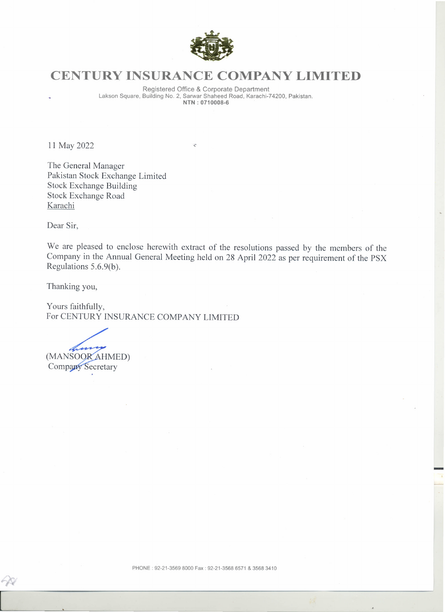

## **CENTURY INSURANCE COMPANY LIMITED**

Registered Office & Corporate Department Lakson Square, Building No.2, Sarwar Shaheed Road, Karachi-74200, Pakistan. **NTN** : 0710008-

**11** May 2022

 $\ddot{\mathbf{r}}$ 

The General Manager Pakistan Stock Exchange Limited Stock Exchange Building Stock Exchange Road Karachi

Dear Sir,

We are pleased to enclose herewith extract of the resolutions passed by the members of the Company in the Annual General Meeting held on 28 April 2022 as per requirement of the PSX Regulations S.6.9(b).

Thanking you,

Yours faithfully, For CENTURY INSURANCE COMPANY LIMITED

(MANSOOR AHMED) **Company Secretary** 

-